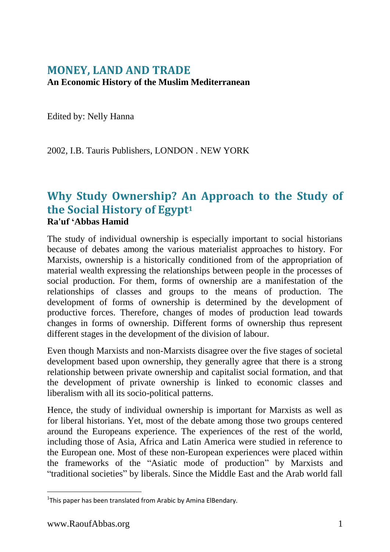## **MONEY, LAND AND TRADE An Economic History of the Muslim Mediterranean**

Edited by: Nelly Hanna

2002, I.B. Tauris Publishers, LONDON . NEW YORK

## **Why Study Ownership? An Approach to the Study of the Social History of Egypt<sup>1</sup> Ra'uf 'Abbas Hamid**

The study of individual ownership is especially important to social historians because of debates among the various materialist approaches to history. For Marxists, ownership is a historically conditioned from of the appropriation of material wealth expressing the relationships between people in the processes of social production. For them, forms of ownership are a manifestation of the relationships of classes and groups to the means of production. The development of forms of ownership is determined by the development of productive forces. Therefore, changes of modes of production lead towards changes in forms of ownership. Different forms of ownership thus represent different stages in the development of the division of labour.

Even though Marxists and non-Marxists disagree over the five stages of societal development based upon ownership, they generally agree that there is a strong relationship between private ownership and capitalist social formation, and that the development of private ownership is linked to economic classes and liberalism with all its socio-political patterns.

Hence, the study of individual ownership is important for Marxists as well as for liberal historians. Yet, most of the debate among those two groups centered around the Europeans experience. The experiences of the rest of the world, including those of Asia, Africa and Latin America were studied in reference to the European one. Most of these non-European experiences were placed within the frameworks of the "Asiatic mode of production" by Marxists and "traditional societies" by liberals. Since the Middle East and the Arab world fall

<sup>&</sup>lt;sup>1</sup>This paper has been translated from Arabic by Amina ElBendary.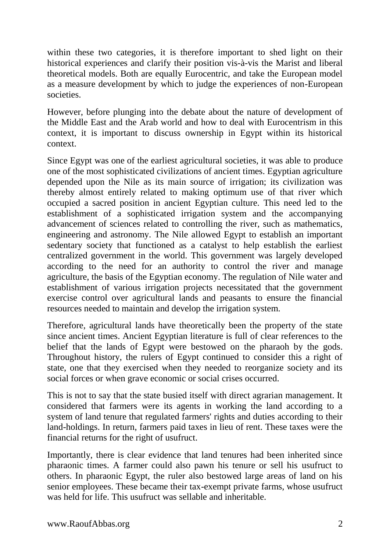within these two categories, it is therefore important to shed light on their historical experiences and clarify their position vis-à-vis the Marist and liberal theoretical models. Both are equally Eurocentric, and take the European model as a measure development by which to judge the experiences of non-European societies.

However, before plunging into the debate about the nature of development of the Middle East and the Arab world and how to deal with Eurocentrism in this context, it is important to discuss ownership in Egypt within its historical context.

Since Egypt was one of the earliest agricultural societies, it was able to produce one of the most sophisticated civilizations of ancient times. Egyptian agriculture depended upon the Nile as its main source of irrigation; its civilization was thereby almost entirely related to making optimum use of that river which occupied a sacred position in ancient Egyptian culture. This need led to the establishment of a sophisticated irrigation system and the accompanying advancement of sciences related to controlling the river, such as mathematics, engineering and astronomy. The Nile allowed Egypt to establish an important sedentary society that functioned as a catalyst to help establish the earliest centralized government in the world. This government was largely developed according to the need for an authority to control the river and manage agriculture, the basis of the Egyptian economy. The regulation of Nile water and establishment of various irrigation projects necessitated that the government exercise control over agricultural lands and peasants to ensure the financial resources needed to maintain and develop the irrigation system.

Therefore, agricultural lands have theoretically been the property of the state since ancient times. Ancient Egyptian literature is full of clear references to the belief that the lands of Egypt were bestowed on the pharaoh by the gods. Throughout history, the rulers of Egypt continued to consider this a right of state, one that they exercised when they needed to reorganize society and its social forces or when grave economic or social crises occurred.

This is not to say that the state busied itself with direct agrarian management. It considered that farmers were its agents in working the land according to a system of land tenure that regulated farmers' rights and duties according to their land-holdings. In return, farmers paid taxes in lieu of rent. These taxes were the financial returns for the right of usufruct.

Importantly, there is clear evidence that land tenures had been inherited since pharaonic times. A farmer could also pawn his tenure or sell his usufruct to others. In pharaonic Egypt, the ruler also bestowed large areas of land on his senior employees. These became their tax-exempt private farms, whose usufruct was held for life. This usufruct was sellable and inheritable.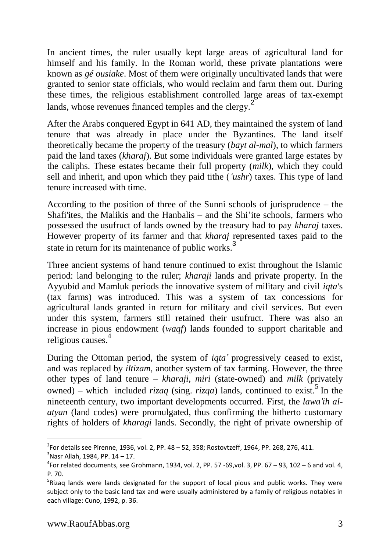In ancient times, the ruler usually kept large areas of agricultural land for himself and his family. In the Roman world, these private plantations were known as *gé ousiake*. Most of them were originally uncultivated lands that were granted to senior state officials, who would reclaim and farm them out. During these times, the religious establishment controlled large areas of tax-exempt lands, whose revenues financed temples and the clergy.<sup>2</sup>

After the Arabs conquered Egypt in 641 AD, they maintained the system of land tenure that was already in place under the Byzantines. The land itself theoretically became the property of the treasury (*bayt al-mal*), to which farmers paid the land taxes (*kharaj*). But some individuals were granted large estates by the caliphs. These estates became their full property (*milk*), which they could sell and inherit, and upon which they paid tithe (*ʻushr*) taxes. This type of land tenure increased with time.

According to the position of three of the Sunni schools of jurisprudence – the Shafi'ites, the Malikis and the Hanbalis – and the Shi'ite schools, farmers who possessed the usufruct of lands owned by the treasury had to pay *kharaj* taxes. However property of its farmer and that *kharaj* represented taxes paid to the state in return for its maintenance of public works.<sup>3</sup>

Three ancient systems of hand tenure continued to exist throughout the Islamic period: land belonging to the ruler; *kharaji* lands and private property. In the Ayyubid and Mamluk periods the innovative system of military and civil *iqta'*s (tax farms) was introduced. This was a system of tax concessions for agricultural lands granted in return for military and civil services. But even under this system, farmers still retained their usufruct. There was also an increase in pious endowment (*waqf*) lands founded to support charitable and religious causes.<sup>4</sup>

During the Ottoman period, the system of *iqta'* progressively ceased to exist, and was replaced by *iltizam*, another system of tax farming. However, the three other types of land tenure – *kharaji*, *miri* (state-owned) and *milk* (privately owned) – which included *rizaq* (sing. *rizqa*) lands, continued to exist.<sup>5</sup> In the nineteenth century, two important developments occurred. First, the *lawa'ih alatyan* (land codes) were promulgated, thus confirming the hitherto customary rights of holders of *kharagi* lands. Secondly, the right of private ownership of

<sup>2</sup> For details see Pirenne, 1936, vol. 2, PP. 48 – 52, 358; Rostovtzeff, 1964, PP. 268, 276, 411.

 $3$ Nasr Allah, 1984, PP. 14 – 17.

 ${}^{4}$ For related documents, see Grohmann, 1934, vol. 2, PP. 57 -69,vol. 3, PP. 67 – 93, 102 – 6 and vol. 4, P. 70.

<sup>&</sup>lt;sup>5</sup>Rizaq lands were lands designated for the support of local pious and public works. They were subject only to the basic land tax and were usually administered by a family of religious notables in each village: Cuno, 1992, p. 36.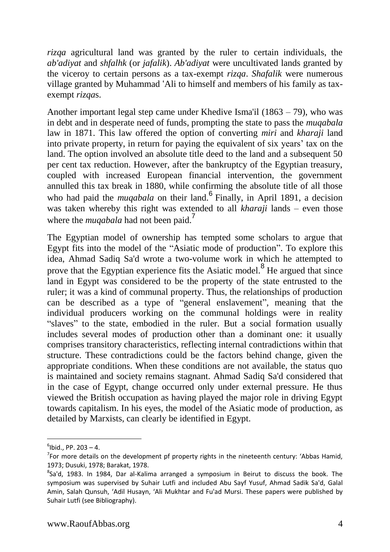*rizqa* agricultural land was granted by the ruler to certain individuals, the *ab'adiyat* and *shfalhk* (or *jafalik*). *Ab'adiyat* were uncultivated lands granted by the viceroy to certain persons as a tax-exempt *rizqa*. *Shafalik* were numerous village granted by Muhammad ʻAli to himself and members of his family as taxexempt *rizqa*s.

Another important legal step came under Khedive Isma'il (1863 – 79), who was in debt and in desperate need of funds, prompting the state to pass the *muqabala* law in 1871. This law offered the option of converting *miri* and *kharaji* land into private property, in return for paying the equivalent of six years' tax on the land. The option involved an absolute title deed to the land and a subsequent 50 per cent tax reduction. However, after the bankruptcy of the Egyptian treasury, coupled with increased European financial intervention, the government annulled this tax break in 1880, while confirming the absolute title of all those who had paid the *muqabala* on their land.<sup>6</sup> Finally, in April 1891, a decision was taken whereby this right was extended to all *kharaji* lands – even those where the *muqabala* had not been paid.<sup>7</sup>

The Egyptian model of ownership has tempted some scholars to argue that Egypt fits into the model of the "Asiatic mode of production". To explore this idea, Ahmad Sadiq Sa'd wrote a two-volume work in which he attempted to prove that the Egyptian experience fits the Asiatic model. $8$  He argued that since land in Egypt was considered to be the property of the state entrusted to the ruler; it was a kind of communal property. Thus, the relationships of production can be described as a type of "general enslavement", meaning that the individual producers working on the communal holdings were in reality "slaves" to the state, embodied in the ruler. But a social formation usually includes several modes of production other than a dominant one: it usually comprises transitory characteristics, reflecting internal contradictions within that structure. These contradictions could be the factors behind change, given the appropriate conditions. When these conditions are not available, the status quo is maintained and society remains stagnant. Ahmad Sadiq Sa'd considered that in the case of Egypt, change occurred only under external pressure. He thus viewed the British occupation as having played the major role in driving Egypt towards capitalism. In his eyes, the model of the Asiatic mode of production, as detailed by Marxists, can clearly be identified in Egypt.

 $6$ Ibid., PP. 203 – 4.

 $7$ For more details on the development pf property rights in the nineteenth century: 'Abbas Hamid, 1973; Dusuki, 1978; Barakat, 1978.

<sup>&</sup>lt;sup>8</sup>Sa'd, 1983. In 1984, Dar al-Kalima arranged a symposium in Beirut to discuss the book. The symposium was supervised by Suhair Lutfi and included Abu Sayf Yusuf, Ahmad Sadik Sa'd, Galal Amin, Salah Qunsuh, ʻAdil Husayn, ʻAli Mukhtar and Fu'ad Mursi. These papers were published by Suhair Lutfi (see Bibliography).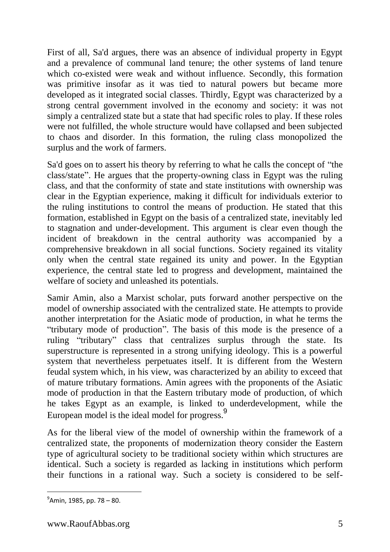First of all, Sa'd argues, there was an absence of individual property in Egypt and a prevalence of communal land tenure; the other systems of land tenure which co-existed were weak and without influence. Secondly, this formation was primitive insofar as it was tied to natural powers but became more developed as it integrated social classes. Thirdly, Egypt was characterized by a strong central government involved in the economy and society: it was not simply a centralized state but a state that had specific roles to play. If these roles were not fulfilled, the whole structure would have collapsed and been subjected to chaos and disorder. In this formation, the ruling class monopolized the surplus and the work of farmers.

Sa'd goes on to assert his theory by referring to what he calls the concept of "the class/state". He argues that the property-owning class in Egypt was the ruling class, and that the conformity of state and state institutions with ownership was clear in the Egyptian experience, making it difficult for individuals exterior to the ruling institutions to control the means of production. He stated that this formation, established in Egypt on the basis of a centralized state, inevitably led to stagnation and under-development. This argument is clear even though the incident of breakdown in the central authority was accompanied by a comprehensive breakdown in all social functions. Society regained its vitality only when the central state regained its unity and power. In the Egyptian experience, the central state led to progress and development, maintained the welfare of society and unleashed its potentials.

Samir Amin, also a Marxist scholar, puts forward another perspective on the model of ownership associated with the centralized state. He attempts to provide another interpretation for the Asiatic mode of production, in what he terms the "tributary mode of production". The basis of this mode is the presence of a ruling "tributary" class that centralizes surplus through the state. Its superstructure is represented in a strong unifying ideology. This is a powerful system that nevertheless perpetuates itself. It is different from the Western feudal system which, in his view, was characterized by an ability to exceed that of mature tributary formations. Amin agrees with the proponents of the Asiatic mode of production in that the Eastern tributary mode of production, of which he takes Egypt as an example, is linked to underdevelopment, while the European model is the ideal model for progress.<sup>9</sup>

As for the liberal view of the model of ownership within the framework of a centralized state, the proponents of modernization theory consider the Eastern type of agricultural society to be traditional society within which structures are identical. Such a society is regarded as lacking in institutions which perform their functions in a rational way. Such a society is considered to be self-

<sup>9</sup> Amin, 1985, pp. 78 – 80.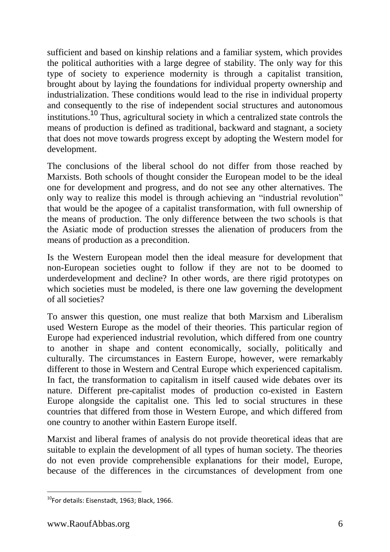sufficient and based on kinship relations and a familiar system, which provides the political authorities with a large degree of stability. The only way for this type of society to experience modernity is through a capitalist transition, brought about by laying the foundations for individual property ownership and industrialization. These conditions would lead to the rise in individual property and consequently to the rise of independent social structures and autonomous institutions.<sup>10</sup> Thus, agricultural society in which a centralized state controls the means of production is defined as traditional, backward and stagnant, a society that does not move towards progress except by adopting the Western model for development.

The conclusions of the liberal school do not differ from those reached by Marxists. Both schools of thought consider the European model to be the ideal one for development and progress, and do not see any other alternatives. The only way to realize this model is through achieving an "industrial revolution" that would be the apogee of a capitalist transformation, with full ownership of the means of production. The only difference between the two schools is that the Asiatic mode of production stresses the alienation of producers from the means of production as a precondition.

Is the Western European model then the ideal measure for development that non-European societies ought to follow if they are not to be doomed to underdevelopment and decline? In other words, are there rigid prototypes on which societies must be modeled, is there one law governing the development of all societies?

To answer this question, one must realize that both Marxism and Liberalism used Western Europe as the model of their theories. This particular region of Europe had experienced industrial revolution, which differed from one country to another in shape and content economically, socially, politically and culturally. The circumstances in Eastern Europe, however, were remarkably different to those in Western and Central Europe which experienced capitalism. In fact, the transformation to capitalism in itself caused wide debates over its nature. Different pre-capitalist modes of production co-existed in Eastern Europe alongside the capitalist one. This led to social structures in these countries that differed from those in Western Europe, and which differed from one country to another within Eastern Europe itself.

Marxist and liberal frames of analysis do not provide theoretical ideas that are suitable to explain the development of all types of human society. The theories do not even provide comprehensible explanations for their model, Europe, because of the differences in the circumstances of development from one

<sup>&</sup>lt;sup>10</sup>For details: Eisenstadt, 1963: Black, 1966.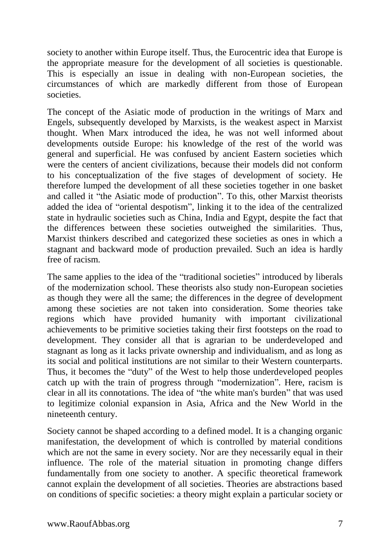society to another within Europe itself. Thus, the Eurocentric idea that Europe is the appropriate measure for the development of all societies is questionable. This is especially an issue in dealing with non-European societies, the circumstances of which are markedly different from those of European societies.

The concept of the Asiatic mode of production in the writings of Marx and Engels, subsequently developed by Marxists, is the weakest aspect in Marxist thought. When Marx introduced the idea, he was not well informed about developments outside Europe: his knowledge of the rest of the world was general and superficial. He was confused by ancient Eastern societies which were the centers of ancient civilizations, because their models did not conform to his conceptualization of the five stages of development of society. He therefore lumped the development of all these societies together in one basket and called it "the Asiatic mode of production". To this, other Marxist theorists added the idea of "oriental despotism", linking it to the idea of the centralized state in hydraulic societies such as China, India and Egypt, despite the fact that the differences between these societies outweighed the similarities. Thus, Marxist thinkers described and categorized these societies as ones in which a stagnant and backward mode of production prevailed. Such an idea is hardly free of racism.

The same applies to the idea of the "traditional societies" introduced by liberals of the modernization school. These theorists also study non-European societies as though they were all the same; the differences in the degree of development among these societies are not taken into consideration. Some theories take regions which have provided humanity with important civilizational achievements to be primitive societies taking their first footsteps on the road to development. They consider all that is agrarian to be underdeveloped and stagnant as long as it lacks private ownership and individualism, and as long as its social and political institutions are not similar to their Western counterparts. Thus, it becomes the "duty" of the West to help those underdeveloped peoples catch up with the train of progress through "modernization". Here, racism is clear in all its connotations. The idea of "the white man's burden" that was used to legitimize colonial expansion in Asia, Africa and the New World in the nineteenth century.

Society cannot be shaped according to a defined model. It is a changing organic manifestation, the development of which is controlled by material conditions which are not the same in every society. Nor are they necessarily equal in their influence. The role of the material situation in promoting change differs fundamentally from one society to another. A specific theoretical framework cannot explain the development of all societies. Theories are abstractions based on conditions of specific societies: a theory might explain a particular society or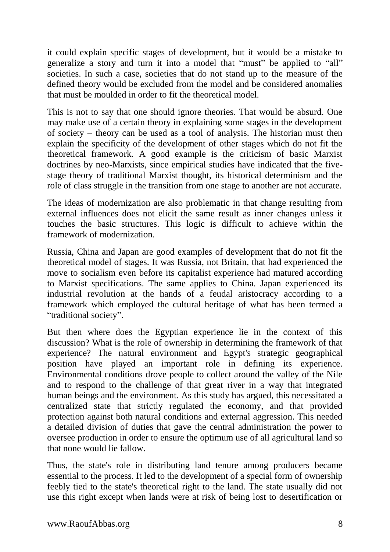it could explain specific stages of development, but it would be a mistake to generalize a story and turn it into a model that "must" be applied to "all" societies. In such a case, societies that do not stand up to the measure of the defined theory would be excluded from the model and be considered anomalies that must be moulded in order to fit the theoretical model.

This is not to say that one should ignore theories. That would be absurd. One may make use of a certain theory in explaining some stages in the development of society – theory can be used as a tool of analysis. The historian must then explain the specificity of the development of other stages which do not fit the theoretical framework. A good example is the criticism of basic Marxist doctrines by neo-Marxists, since empirical studies have indicated that the fivestage theory of traditional Marxist thought, its historical determinism and the role of class struggle in the transition from one stage to another are not accurate.

The ideas of modernization are also problematic in that change resulting from external influences does not elicit the same result as inner changes unless it touches the basic structures. This logic is difficult to achieve within the framework of modernization.

Russia, China and Japan are good examples of development that do not fit the theoretical model of stages. It was Russia, not Britain, that had experienced the move to socialism even before its capitalist experience had matured according to Marxist specifications. The same applies to China. Japan experienced its industrial revolution at the hands of a feudal aristocracy according to a framework which employed the cultural heritage of what has been termed a "traditional society".

But then where does the Egyptian experience lie in the context of this discussion? What is the role of ownership in determining the framework of that experience? The natural environment and Egypt's strategic geographical position have played an important role in defining its experience. Environmental conditions drove people to collect around the valley of the Nile and to respond to the challenge of that great river in a way that integrated human beings and the environment. As this study has argued, this necessitated a centralized state that strictly regulated the economy, and that provided protection against both natural conditions and external aggression. This needed a detailed division of duties that gave the central administration the power to oversee production in order to ensure the optimum use of all agricultural land so that none would lie fallow.

Thus, the state's role in distributing land tenure among producers became essential to the process. It led to the development of a special form of ownership feebly tied to the state's theoretical right to the land. The state usually did not use this right except when lands were at risk of being lost to desertification or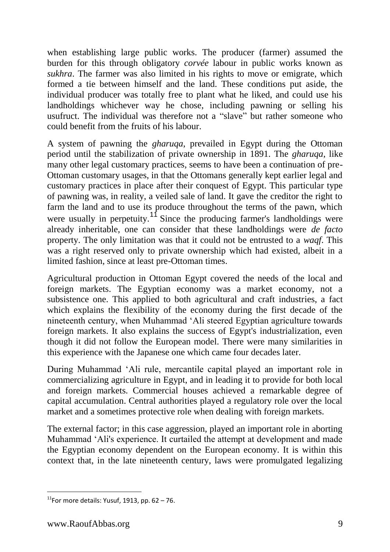when establishing large public works. The producer (farmer) assumed the burden for this through obligatory *corvée* labour in public works known as *sukhra*. The farmer was also limited in his rights to move or emigrate, which formed a tie between himself and the land. These conditions put aside, the individual producer was totally free to plant what he liked, and could use his landholdings whichever way he chose, including pawning or selling his usufruct. The individual was therefore not a "slave" but rather someone who could benefit from the fruits of his labour.

A system of pawning the *gharuqa*, prevailed in Egypt during the Ottoman period until the stabilization of private ownership in 1891. The *gharuqa*, like many other legal customary practices, seems to have been a continuation of pre-Ottoman customary usages, in that the Ottomans generally kept earlier legal and customary practices in place after their conquest of Egypt. This particular type of pawning was, in reality, a veiled sale of land. It gave the creditor the right to farm the land and to use its produce throughout the terms of the pawn, which were usually in perpetuity.<sup>11</sup> Since the producing farmer's landholdings were already inheritable, one can consider that these landholdings were *de facto* property. The only limitation was that it could not be entrusted to a *waqf*. This was a right reserved only to private ownership which had existed, albeit in a limited fashion, since at least pre-Ottoman times.

Agricultural production in Ottoman Egypt covered the needs of the local and foreign markets. The Egyptian economy was a market economy, not a subsistence one. This applied to both agricultural and craft industries, a fact which explains the flexibility of the economy during the first decade of the nineteenth century, when Muhammad ʻAli steered Egyptian agriculture towards foreign markets. It also explains the success of Egypt's industrialization, even though it did not follow the European model. There were many similarities in this experience with the Japanese one which came four decades later.

During Muhammad ʻAli rule, mercantile capital played an important role in commercializing agriculture in Egypt, and in leading it to provide for both local and foreign markets. Commercial houses achieved a remarkable degree of capital accumulation. Central authorities played a regulatory role over the local market and a sometimes protective role when dealing with foreign markets.

The external factor; in this case aggression, played an important role in aborting Muhammad ʻAli's experience. It curtailed the attempt at development and made the Egyptian economy dependent on the European economy. It is within this context that, in the late nineteenth century, laws were promulgated legalizing

<sup>&</sup>lt;sup>11</sup>For more details: Yusuf, 1913, pp.  $62 - 76$ .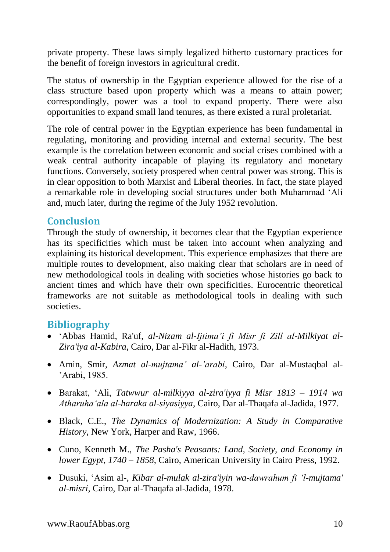private property. These laws simply legalized hitherto customary practices for the benefit of foreign investors in agricultural credit.

The status of ownership in the Egyptian experience allowed for the rise of a class structure based upon property which was a means to attain power; correspondingly, power was a tool to expand property. There were also opportunities to expand small land tenures, as there existed a rural proletariat.

The role of central power in the Egyptian experience has been fundamental in regulating, monitoring and providing internal and external security. The best example is the correlation between economic and social crises combined with a weak central authority incapable of playing its regulatory and monetary functions. Conversely, society prospered when central power was strong. This is in clear opposition to both Marxist and Liberal theories. In fact, the state played a remarkable role in developing social structures under both Muhammad ʻAli and, much later, during the regime of the July 1952 revolution.

## **Conclusion**

Through the study of ownership, it becomes clear that the Egyptian experience has its specificities which must be taken into account when analyzing and explaining its historical development. This experience emphasizes that there are multiple routes to development, also making clear that scholars are in need of new methodological tools in dealing with societies whose histories go back to ancient times and which have their own specificities. Eurocentric theoretical frameworks are not suitable as methodological tools in dealing with such societies.

## **Bibliography**

- ʻAbbas Hamid, Ra'uf, *al-Nizam al-Ijtima'i fi Misr fi Zill al-Milkiyat al-Zira'iya al-Kabira*, Cairo, Dar al-Fikr al-Hadith, 1973.
- Amin, Smir, *Azmat al-mujtama' al-'arabi*, Cairo, Dar al-Mustaqbal al-'Arabi, 1985.
- Barakat, ʻAli, *Tatwwur al-milkiyya al-zira'iyya fi Misr 1813 – 1914 wa Atharuhaʻala al-haraka al-siyasiyya*, Cairo, Dar al-Thaqafa al-Jadida, 1977.
- Black, C.E., *The Dynamics of Modernization: A Study in Comparative History*, New York, Harper and Raw, 1966.
- Cuno, Kenneth M., *The Pasha's Peasants: Land, Society, and Economy in lower Egypt, 1740 – 1858*, Cairo, American University in Cairo Press, 1992.
- Dusuki, ʻAsim al-, *Kibar al-mulak al-zira'iyin wa-dawrahum fi ʻl-mujtama' al-misri*, Cairo, Dar al-Thaqafa al-Jadida, 1978.